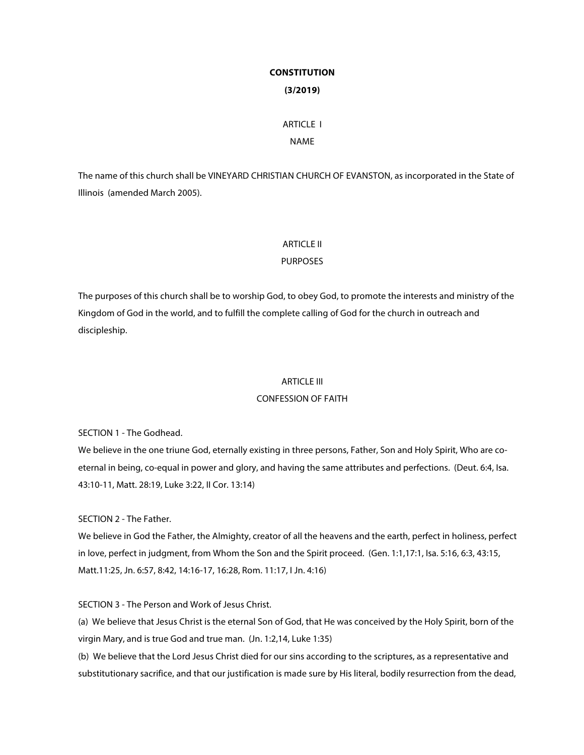# **CONSTITUTION (3/2019)**

# ARTICLE I NAME

The name of this church shall be VINEYARD CHRISTIAN CHURCH OF EVANSTON, as incorporated in the State of Illinois (amended March 2005).

# ARTICLE II

# PURPOSES

The purposes of this church shall be to worship God, to obey God, to promote the interests and ministry of the Kingdom of God in the world, and to fulfill the complete calling of God for the church in outreach and discipleship.

# ARTICLE III

# CONFESSION OF FAITH

SECTION 1 - The Godhead.

We believe in the one triune God, eternally existing in three persons, Father, Son and Holy Spirit, Who are coeternal in being, co-equal in power and glory, and having the same attributes and perfections. (Deut. 6:4, Isa. 43:10-11, Matt. 28:19, Luke 3:22, II Cor. 13:14)

SECTION 2 - The Father.

We believe in God the Father, the Almighty, creator of all the heavens and the earth, perfect in holiness, perfect in love, perfect in judgment, from Whom the Son and the Spirit proceed. (Gen. 1:1,17:1, Isa. 5:16, 6:3, 43:15, Matt.11:25, Jn. 6:57, 8:42, 14:16-17, 16:28, Rom. 11:17, I Jn. 4:16)

SECTION 3 - The Person and Work of Jesus Christ.

(a) We believe that Jesus Christ is the eternal Son of God, that He was conceived by the Holy Spirit, born of the virgin Mary, and is true God and true man. (Jn. 1:2,14, Luke 1:35)

(b) We believe that the Lord Jesus Christ died for our sins according to the scriptures, as a representative and substitutionary sacrifice, and that our justification is made sure by His literal, bodily resurrection from the dead,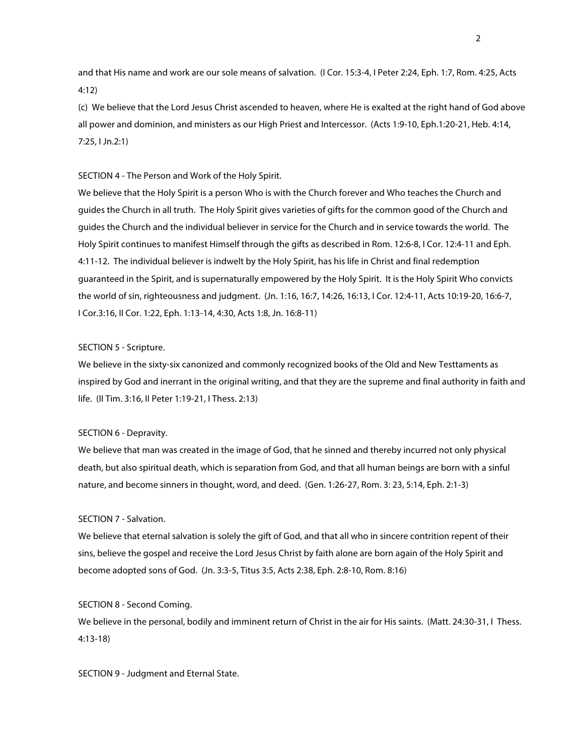and that His name and work are our sole means of salvation. (I Cor. 15:3-4, I Peter 2:24, Eph. 1:7, Rom. 4:25, Acts 4:12)

(c) We believe that the Lord Jesus Christ ascended to heaven, where He is exalted at the right hand of God above all power and dominion, and ministers as our High Priest and Intercessor. (Acts 1:9-10, Eph.1:20-21, Heb. 4:14, 7:25, I Jn.2:1)

### SECTION 4 - The Person and Work of the Holy Spirit.

We believe that the Holy Spirit is a person Who is with the Church forever and Who teaches the Church and guides the Church in all truth. The Holy Spirit gives varieties of gifts for the common good of the Church and guides the Church and the individual believer in service for the Church and in service towards the world. The Holy Spirit continues to manifest Himself through the gifts as described in Rom. 12:6-8, I Cor. 12:4-11 and Eph. 4:11-12. The individual believer is indwelt by the Holy Spirit, has his life in Christ and final redemption guaranteed in the Spirit, and is supernaturally empowered by the Holy Spirit. It is the Holy Spirit Who convicts the world of sin, righteousness and judgment. (Jn. 1:16, 16:7, 14:26, 16:13, I Cor. 12:4-11, Acts 10:19-20, 16:6-7, I Cor.3:16, II Cor. 1:22, Eph. 1:13-14, 4:30, Acts 1:8, Jn. 16:8-11)

# SECTION 5 - Scripture.

We believe in the sixty-six canonized and commonly recognized books of the Old and New Testtaments as inspired by God and inerrant in the original writing, and that they are the supreme and final authority in faith and life. (II Tim. 3:16, II Peter 1:19-21, I Thess. 2:13)

# SECTION 6 - Depravity.

We believe that man was created in the image of God, that he sinned and thereby incurred not only physical death, but also spiritual death, which is separation from God, and that all human beings are born with a sinful nature, and become sinners in thought, word, and deed. (Gen. 1:26-27, Rom. 3: 23, 5:14, Eph. 2:1-3)

### SECTION 7 - Salvation.

We believe that eternal salvation is solely the gift of God, and that all who in sincere contrition repent of their sins, believe the gospel and receive the Lord Jesus Christ by faith alone are born again of the Holy Spirit and become adopted sons of God. (Jn. 3:3-5, Titus 3:5, Acts 2:38, Eph. 2:8-10, Rom. 8:16)

### SECTION 8 - Second Coming.

We believe in the personal, bodily and imminent return of Christ in the air for His saints. (Matt. 24:30-31, I Thess. 4:13-18)

SECTION 9 - Judgment and Eternal State.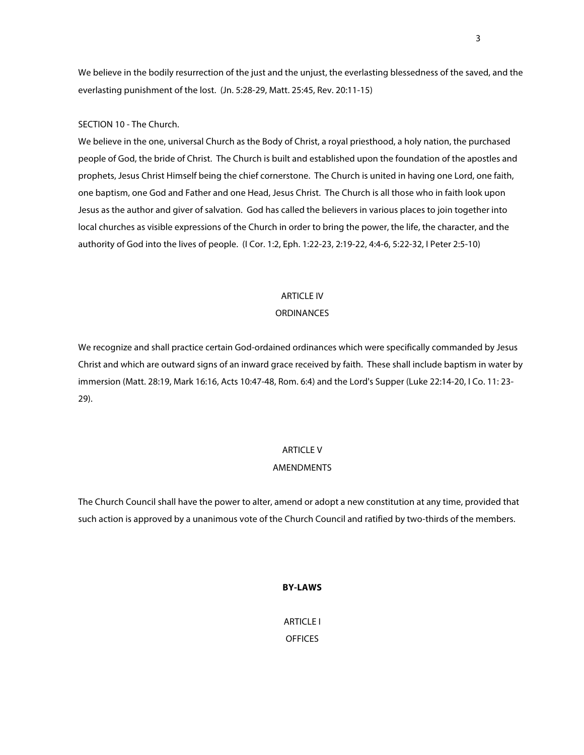We believe in the bodily resurrection of the just and the unjust, the everlasting blessedness of the saved, and the everlasting punishment of the lost. (Jn. 5:28-29, Matt. 25:45, Rev. 20:11-15)

# SECTION 10 - The Church.

We believe in the one, universal Church as the Body of Christ, a royal priesthood, a holy nation, the purchased people of God, the bride of Christ. The Church is built and established upon the foundation of the apostles and prophets, Jesus Christ Himself being the chief cornerstone. The Church is united in having one Lord, one faith, one baptism, one God and Father and one Head, Jesus Christ. The Church is all those who in faith look upon Jesus as the author and giver of salvation. God has called the believers in various places to join together into local churches as visible expressions of the Church in order to bring the power, the life, the character, and the authority of God into the lives of people. (I Cor. 1:2, Eph. 1:22-23, 2:19-22, 4:4-6, 5:22-32, I Peter 2:5-10)

# ARTICLE IV

# **ORDINANCES**

We recognize and shall practice certain God-ordained ordinances which were specifically commanded by Jesus Christ and which are outward signs of an inward grace received by faith. These shall include baptism in water by immersion (Matt. 28:19, Mark 16:16, Acts 10:47-48, Rom. 6:4) and the Lord's Supper (Luke 22:14-20, I Co. 11: 23- 29).

# ARTICLE V

### AMENDMENTS

The Church Council shall have the power to alter, amend or adopt a new constitution at any time, provided that such action is approved by a unanimous vote of the Church Council and ratified by two-thirds of the members.

# **BY-LAWS**

ARTICLE I OFFICES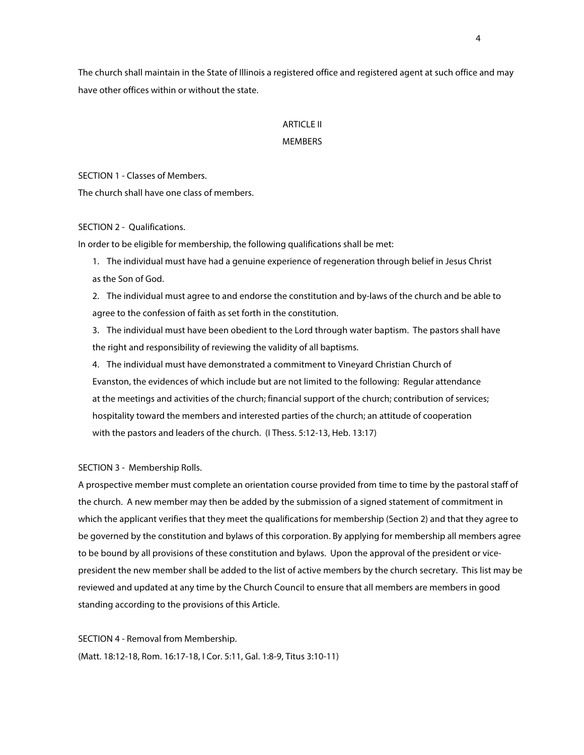The church shall maintain in the State of Illinois a registered office and registered agent at such office and may have other offices within or without the state.

# **ARTICLE II**

# MEMBERS

SECTION 1 - Classes of Members.

The church shall have one class of members.

# SECTION 2 - Qualifications.

In order to be eligible for membership, the following qualifications shall be met:

1. The individual must have had a genuine experience of regeneration through belief in Jesus Christ as the Son of God.

2. The individual must agree to and endorse the constitution and by-laws of the church and be able to agree to the confession of faith as set forth in the constitution.

3. The individual must have been obedient to the Lord through water baptism. The pastors shall have the right and responsibility of reviewing the validity of all baptisms.

4. The individual must have demonstrated a commitment to Vineyard Christian Church of Evanston, the evidences of which include but are not limited to the following: Regular attendance at the meetings and activities of the church; financial support of the church; contribution of services; hospitality toward the members and interested parties of the church; an attitude of cooperation with the pastors and leaders of the church. (I Thess. 5:12-13, Heb. 13:17)

# SECTION 3 - Membership Rolls.

A prospective member must complete an orientation course provided from time to time by the pastoral staff of the church. A new member may then be added by the submission of a signed statement of commitment in which the applicant verifies that they meet the qualifications for membership (Section 2) and that they agree to be governed by the constitution and bylaws of this corporation. By applying for membership all members agree to be bound by all provisions of these constitution and bylaws. Upon the approval of the president or vicepresident the new member shall be added to the list of active members by the church secretary. This list may be reviewed and updated at any time by the Church Council to ensure that all members are members in good standing according to the provisions of this Article.

SECTION 4 - Removal from Membership. (Matt. 18:12-18, Rom. 16:17-18, I Cor. 5:11, Gal. 1:8-9, Titus 3:10-11)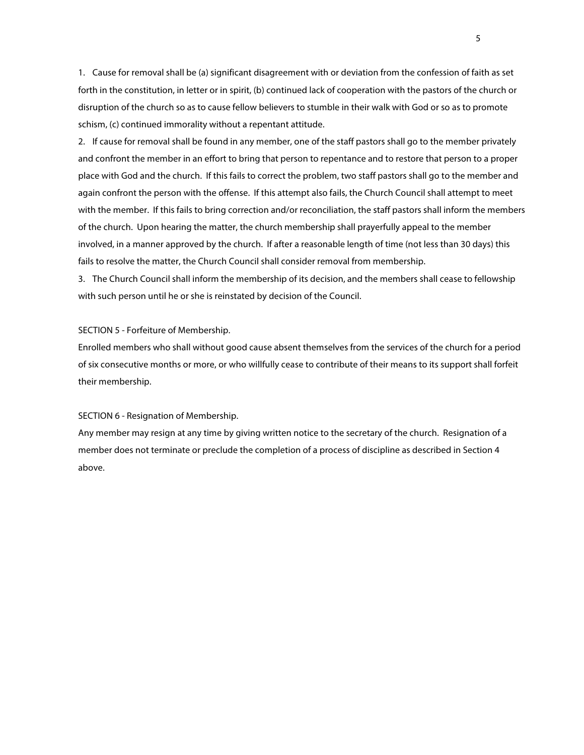1. Cause for removal shall be (a) significant disagreement with or deviation from the confession of faith as set forth in the constitution, in letter or in spirit, (b) continued lack of cooperation with the pastors of the church or disruption of the church so as to cause fellow believers to stumble in their walk with God or so as to promote schism, (c) continued immorality without a repentant attitude.

2. If cause for removal shall be found in any member, one of the staff pastors shall go to the member privately and confront the member in an effort to bring that person to repentance and to restore that person to a proper place with God and the church. If this fails to correct the problem, two staff pastors shall go to the member and again confront the person with the offense. If this attempt also fails, the Church Council shall attempt to meet with the member. If this fails to bring correction and/or reconciliation, the staff pastors shall inform the members of the church. Upon hearing the matter, the church membership shall prayerfully appeal to the member involved, in a manner approved by the church. If after a reasonable length of time (not less than 30 days) this fails to resolve the matter, the Church Council shall consider removal from membership.

3. The Church Council shall inform the membership of its decision, and the members shall cease to fellowship with such person until he or she is reinstated by decision of the Council.

# SECTION 5 - Forfeiture of Membership.

Enrolled members who shall without good cause absent themselves from the services of the church for a period of six consecutive months or more, or who willfully cease to contribute of their means to its support shall forfeit their membership.

#### SECTION 6 - Resignation of Membership.

Any member may resign at any time by giving written notice to the secretary of the church. Resignation of a member does not terminate or preclude the completion of a process of discipline as described in Section 4 above.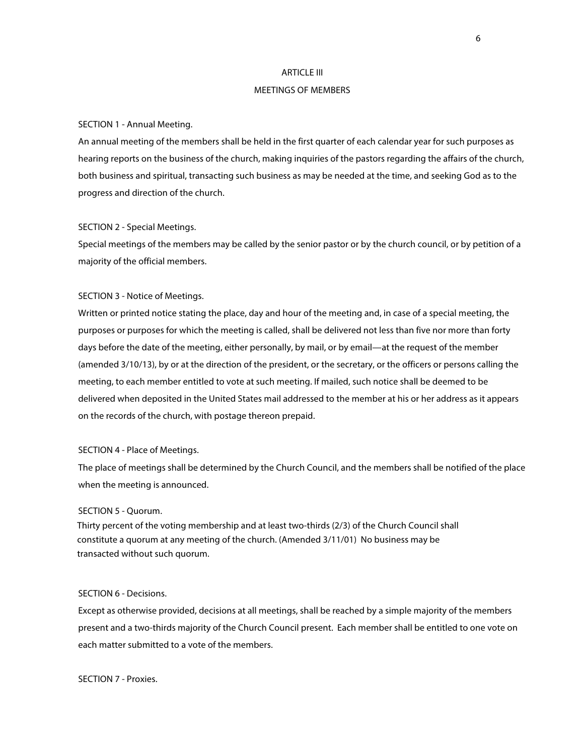#### ARTICLE III

### MEETINGS OF MEMBERS

#### SECTION 1 - Annual Meeting.

An annual meeting of the members shall be held in the first quarter of each calendar year for such purposes as hearing reports on the business of the church, making inquiries of the pastors regarding the affairs of the church, both business and spiritual, transacting such business as may be needed at the time, and seeking God as to the progress and direction of the church.

#### SECTION 2 - Special Meetings.

Special meetings of the members may be called by the senior pastor or by the church council, or by petition of a majority of the official members.

### SECTION 3 - Notice of Meetings.

Written or printed notice stating the place, day and hour of the meeting and, in case of a special meeting, the purposes or purposes for which the meeting is called, shall be delivered not less than five nor more than forty days before the date of the meeting, either personally, by mail, or by email—at the request of the member (amended 3/10/13), by or at the direction of the president, or the secretary, or the officers or persons calling the meeting, to each member entitled to vote at such meeting. If mailed, such notice shall be deemed to be delivered when deposited in the United States mail addressed to the member at his or her address as it appears on the records of the church, with postage thereon prepaid.

# SECTION 4 - Place of Meetings.

The place of meetings shall be determined by the Church Council, and the members shall be notified of the place when the meeting is announced.

#### SECTION 5 - Quorum.

Thirty percent of the voting membership and at least two-thirds (2/3) of the Church Council shall constitute a quorum at any meeting of the church. (Amended 3/11/01) No business may be transacted without such quorum.

# SECTION 6 - Decisions.

Except as otherwise provided, decisions at all meetings, shall be reached by a simple majority of the members present and a two-thirds majority of the Church Council present. Each member shall be entitled to one vote on each matter submitted to a vote of the members.

SECTION 7 - Proxies.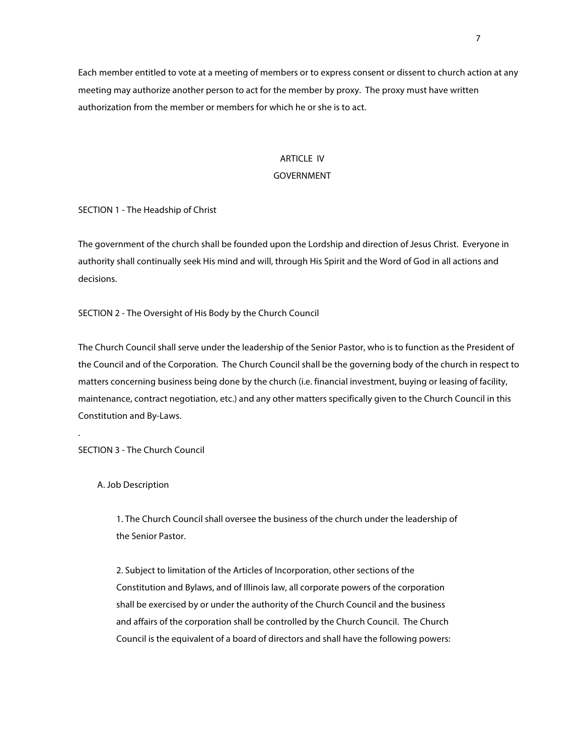Each member entitled to vote at a meeting of members or to express consent or dissent to church action at any meeting may authorize another person to act for the member by proxy. The proxy must have written authorization from the member or members for which he or she is to act.

# ARTICLE IV

# GOVERNMENT

SECTION 1 - The Headship of Christ

The government of the church shall be founded upon the Lordship and direction of Jesus Christ. Everyone in authority shall continually seek His mind and will, through His Spirit and the Word of God in all actions and decisions.

SECTION 2 - The Oversight of His Body by the Church Council

The Church Council shall serve under the leadership of the Senior Pastor, who is to function as the President of the Council and of the Corporation. The Church Council shall be the governing body of the church in respect to matters concerning business being done by the church (i.e. financial investment, buying or leasing of facility, maintenance, contract negotiation, etc.) and any other matters specifically given to the Church Council in this Constitution and By-Laws.

SECTION 3 - The Church Council

A. Job Description

.

1. The Church Council shall oversee the business of the church under the leadership of the Senior Pastor.

2. Subject to limitation of the Articles of Incorporation, other sections of the Constitution and Bylaws, and of Illinois law, all corporate powers of the corporation shall be exercised by or under the authority of the Church Council and the business and affairs of the corporation shall be controlled by the Church Council. The Church Council is the equivalent of a board of directors and shall have the following powers: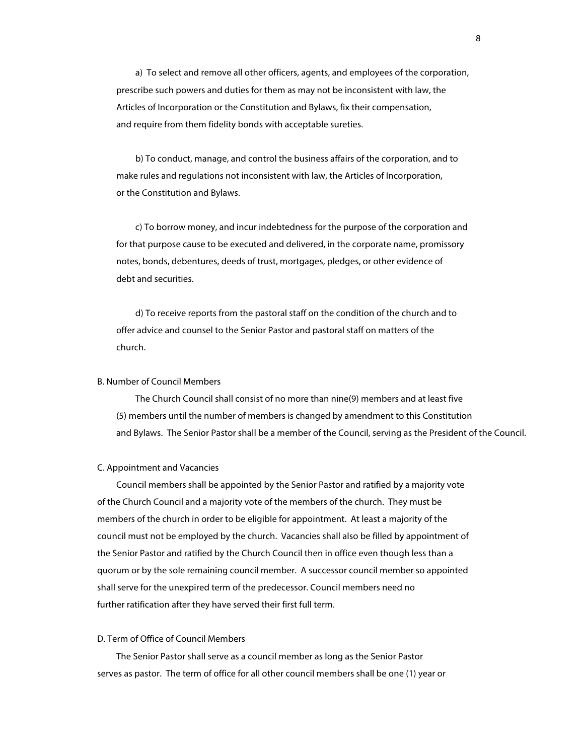a) To select and remove all other officers, agents, and employees of the corporation, prescribe such powers and duties for them as may not be inconsistent with law, the Articles of Incorporation or the Constitution and Bylaws, fix their compensation, and require from them fidelity bonds with acceptable sureties.

b) To conduct, manage, and control the business affairs of the corporation, and to make rules and regulations not inconsistent with law, the Articles of Incorporation, or the Constitution and Bylaws.

c) To borrow money, and incur indebtedness for the purpose of the corporation and for that purpose cause to be executed and delivered, in the corporate name, promissory notes, bonds, debentures, deeds of trust, mortgages, pledges, or other evidence of debt and securities.

d) To receive reports from the pastoral staff on the condition of the church and to offer advice and counsel to the Senior Pastor and pastoral staff on matters of the church.

### B. Number of Council Members

The Church Council shall consist of no more than nine(9) members and at least five (5) members until the number of members is changed by amendment to this Constitution and Bylaws. The Senior Pastor shall be a member of the Council, serving as the President of the Council.

#### C. Appointment and Vacancies

Council members shall be appointed by the Senior Pastor and ratified by a majority vote of the Church Council and a majority vote of the members of the church. They must be members of the church in order to be eligible for appointment. At least a majority of the council must not be employed by the church. Vacancies shall also be filled by appointment of the Senior Pastor and ratified by the Church Council then in office even though less than a quorum or by the sole remaining council member. A successor council member so appointed shall serve for the unexpired term of the predecessor. Council members need no further ratification after they have served their first full term.

### D. Term of Office of Council Members

The Senior Pastor shall serve as a council member as long as the Senior Pastor serves as pastor. The term of office for all other council members shall be one (1) year or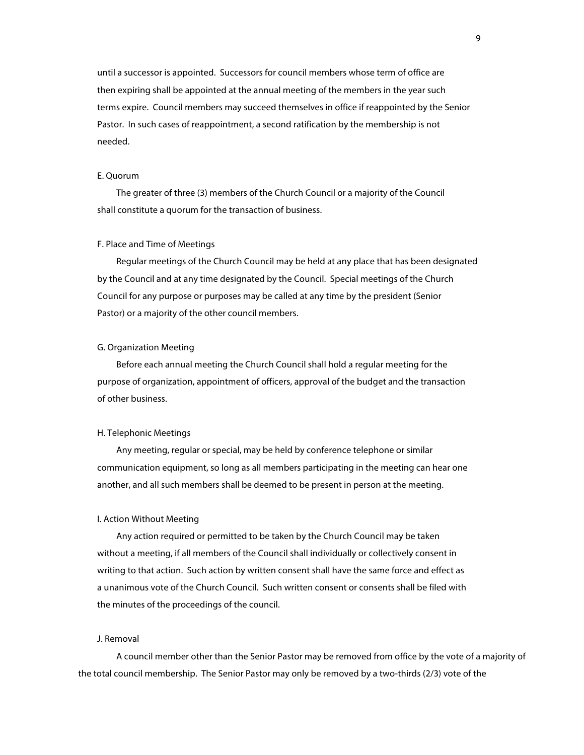until a successor is appointed. Successors for council members whose term of office are then expiring shall be appointed at the annual meeting of the members in the year such terms expire. Council members may succeed themselves in office if reappointed by the Senior Pastor. In such cases of reappointment, a second ratification by the membership is not needed.

#### E. Quorum

The greater of three (3) members of the Church Council or a majority of the Council shall constitute a quorum for the transaction of business.

#### F. Place and Time of Meetings

Regular meetings of the Church Council may be held at any place that has been designated by the Council and at any time designated by the Council. Special meetings of the Church Council for any purpose or purposes may be called at any time by the president (Senior Pastor) or a majority of the other council members.

### G. Organization Meeting

Before each annual meeting the Church Council shall hold a regular meeting for the purpose of organization, appointment of officers, approval of the budget and the transaction of other business.

#### H. Telephonic Meetings

Any meeting, regular or special, may be held by conference telephone or similar communication equipment, so long as all members participating in the meeting can hear one another, and all such members shall be deemed to be present in person at the meeting.

### I. Action Without Meeting

Any action required or permitted to be taken by the Church Council may be taken without a meeting, if all members of the Council shall individually or collectively consent in writing to that action. Such action by written consent shall have the same force and effect as a unanimous vote of the Church Council. Such written consent or consents shall be filed with the minutes of the proceedings of the council.

#### J. Removal

A council member other than the Senior Pastor may be removed from office by the vote of a majority of the total council membership. The Senior Pastor may only be removed by a two-thirds (2/3) vote of the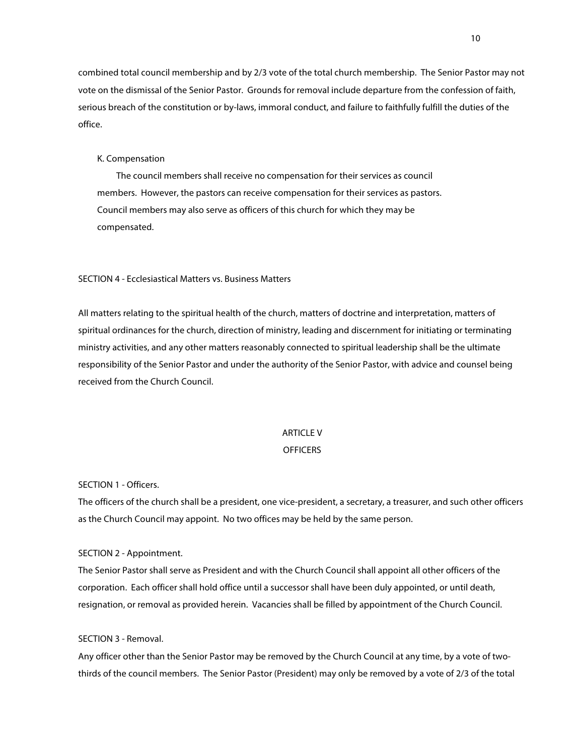combined total council membership and by 2/3 vote of the total church membership. The Senior Pastor may not vote on the dismissal of the Senior Pastor. Grounds for removal include departure from the confession of faith, serious breach of the constitution or by-laws, immoral conduct, and failure to faithfully fulfill the duties of the office.

#### K. Compensation

The council members shall receive no compensation for their services as council members. However, the pastors can receive compensation for their services as pastors. Council members may also serve as officers of this church for which they may be compensated.

### SECTION 4 - Ecclesiastical Matters vs. Business Matters

All matters relating to the spiritual health of the church, matters of doctrine and interpretation, matters of spiritual ordinances for the church, direction of ministry, leading and discernment for initiating or terminating ministry activities, and any other matters reasonably connected to spiritual leadership shall be the ultimate responsibility of the Senior Pastor and under the authority of the Senior Pastor, with advice and counsel being received from the Church Council.

### ARTICLE V

#### **OFFICERS**

### SECTION 1 - Officers.

The officers of the church shall be a president, one vice-president, a secretary, a treasurer, and such other officers as the Church Council may appoint. No two offices may be held by the same person.

#### SECTION 2 - Appointment.

The Senior Pastor shall serve as President and with the Church Council shall appoint all other officers of the corporation. Each officer shall hold office until a successor shall have been duly appointed, or until death, resignation, or removal as provided herein. Vacancies shall be filled by appointment of the Church Council.

### SECTION 3 - Removal.

Any officer other than the Senior Pastor may be removed by the Church Council at any time, by a vote of twothirds of the council members. The Senior Pastor (President) may only be removed by a vote of 2/3 of the total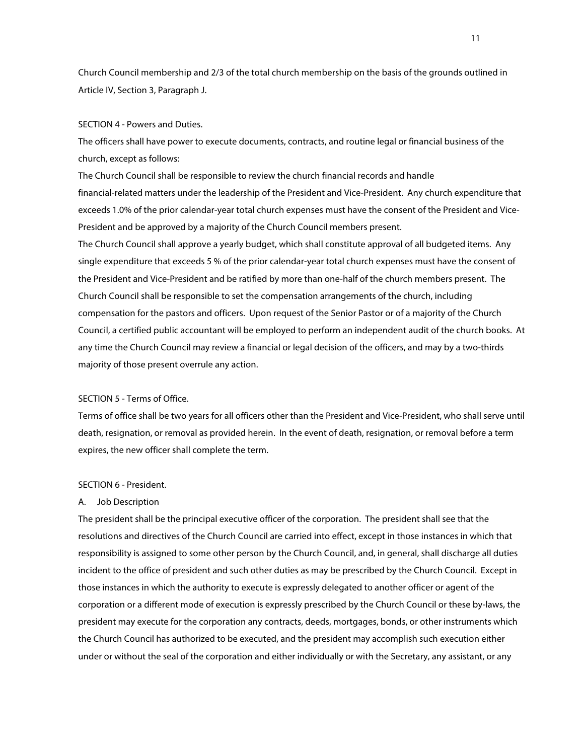Church Council membership and 2/3 of the total church membership on the basis of the grounds outlined in Article IV, Section 3, Paragraph J.

### SECTION 4 - Powers and Duties.

The officers shall have power to execute documents, contracts, and routine legal or financial business of the church, except as follows:

The Church Council shall be responsible to review the church financial records and handle financial-related matters under the leadership of the President and Vice-President. Any church expenditure that exceeds 1.0% of the prior calendar-year total church expenses must have the consent of the President and Vice-President and be approved by a majority of the Church Council members present.

The Church Council shall approve a yearly budget, which shall constitute approval of all budgeted items. Any single expenditure that exceeds 5 % of the prior calendar-year total church expenses must have the consent of the President and Vice-President and be ratified by more than one-half of the church members present. The Church Council shall be responsible to set the compensation arrangements of the church, including compensation for the pastors and officers. Upon request of the Senior Pastor or of a majority of the Church Council, a certified public accountant will be employed to perform an independent audit of the church books. At any time the Church Council may review a financial or legal decision of the officers, and may by a two-thirds majority of those present overrule any action.

# SECTION 5 - Terms of Office.

Terms of office shall be two years for all officers other than the President and Vice-President, who shall serve until death, resignation, or removal as provided herein. In the event of death, resignation, or removal before a term expires, the new officer shall complete the term.

### SECTION 6 - President.

# A. Job Description

The president shall be the principal executive officer of the corporation. The president shall see that the resolutions and directives of the Church Council are carried into effect, except in those instances in which that responsibility is assigned to some other person by the Church Council, and, in general, shall discharge all duties incident to the office of president and such other duties as may be prescribed by the Church Council. Except in those instances in which the authority to execute is expressly delegated to another officer or agent of the corporation or a different mode of execution is expressly prescribed by the Church Council or these by-laws, the president may execute for the corporation any contracts, deeds, mortgages, bonds, or other instruments which the Church Council has authorized to be executed, and the president may accomplish such execution either under or without the seal of the corporation and either individually or with the Secretary, any assistant, or any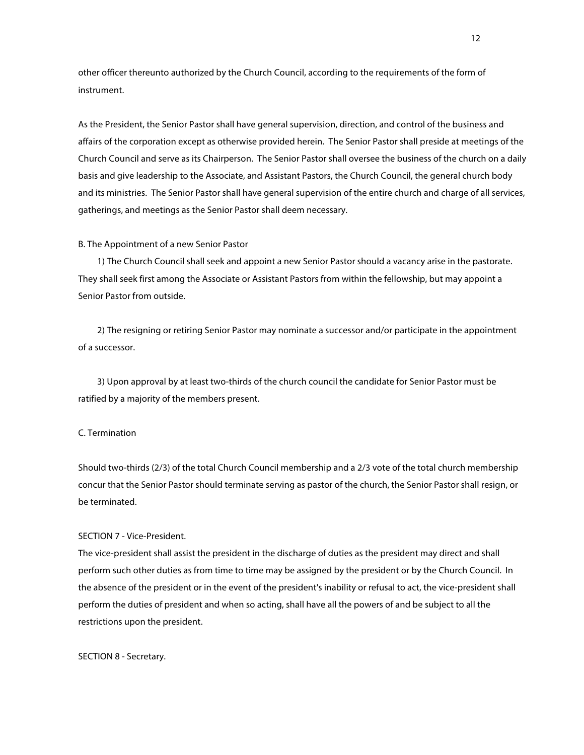other officer thereunto authorized by the Church Council, according to the requirements of the form of instrument.

As the President, the Senior Pastor shall have general supervision, direction, and control of the business and affairs of the corporation except as otherwise provided herein. The Senior Pastor shall preside at meetings of the Church Council and serve as its Chairperson. The Senior Pastor shall oversee the business of the church on a daily basis and give leadership to the Associate, and Assistant Pastors, the Church Council, the general church body and its ministries. The Senior Pastor shall have general supervision of the entire church and charge of all services, gatherings, and meetings as the Senior Pastor shall deem necessary.

#### B. The Appointment of a new Senior Pastor

1) The Church Council shall seek and appoint a new Senior Pastor should a vacancy arise in the pastorate. They shall seek first among the Associate or Assistant Pastors from within the fellowship, but may appoint a Senior Pastor from outside.

2) The resigning or retiring Senior Pastor may nominate a successor and/or participate in the appointment of a successor.

3) Upon approval by at least two-thirds of the church council the candidate for Senior Pastor must be ratified by a majority of the members present.

#### C. Termination

Should two-thirds (2/3) of the total Church Council membership and a 2/3 vote of the total church membership concur that the Senior Pastor should terminate serving as pastor of the church, the Senior Pastor shall resign, or be terminated.

# SECTION 7 - Vice-President.

The vice-president shall assist the president in the discharge of duties as the president may direct and shall perform such other duties as from time to time may be assigned by the president or by the Church Council. In the absence of the president or in the event of the president's inability or refusal to act, the vice-president shall perform the duties of president and when so acting, shall have all the powers of and be subject to all the restrictions upon the president.

### SECTION 8 - Secretary.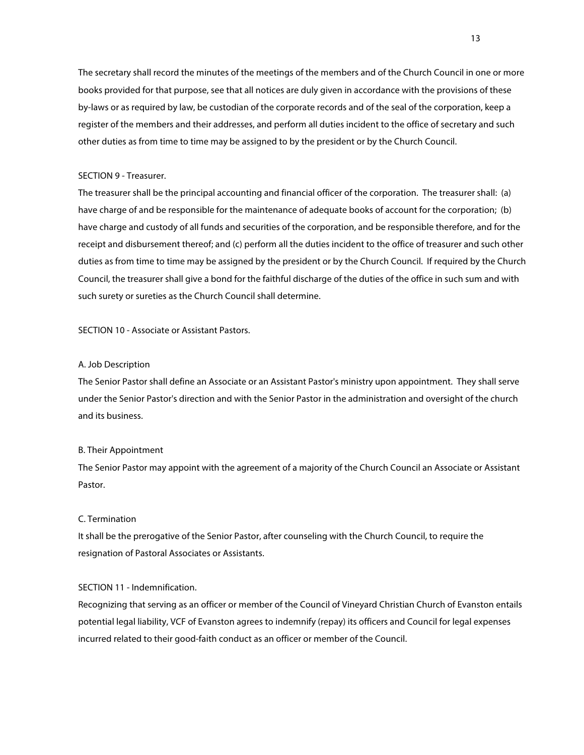The secretary shall record the minutes of the meetings of the members and of the Church Council in one or more books provided for that purpose, see that all notices are duly given in accordance with the provisions of these by-laws or as required by law, be custodian of the corporate records and of the seal of the corporation, keep a register of the members and their addresses, and perform all duties incident to the office of secretary and such other duties as from time to time may be assigned to by the president or by the Church Council.

#### SECTION 9 - Treasurer.

The treasurer shall be the principal accounting and financial officer of the corporation. The treasurer shall: (a) have charge of and be responsible for the maintenance of adequate books of account for the corporation; (b) have charge and custody of all funds and securities of the corporation, and be responsible therefore, and for the receipt and disbursement thereof; and (c) perform all the duties incident to the office of treasurer and such other duties as from time to time may be assigned by the president or by the Church Council. If required by the Church Council, the treasurer shall give a bond for the faithful discharge of the duties of the office in such sum and with such surety or sureties as the Church Council shall determine.

SECTION 10 - Associate or Assistant Pastors.

#### A. Job Description

The Senior Pastor shall define an Associate or an Assistant Pastor's ministry upon appointment. They shall serve under the Senior Pastor's direction and with the Senior Pastor in the administration and oversight of the church and its business.

# B. Their Appointment

The Senior Pastor may appoint with the agreement of a majority of the Church Council an Associate or Assistant Pastor.

### C. Termination

It shall be the prerogative of the Senior Pastor, after counseling with the Church Council, to require the resignation of Pastoral Associates or Assistants.

# SECTION 11 - Indemnification.

Recognizing that serving as an officer or member of the Council of Vineyard Christian Church of Evanston entails potential legal liability, VCF of Evanston agrees to indemnify (repay) its officers and Council for legal expenses incurred related to their good-faith conduct as an officer or member of the Council.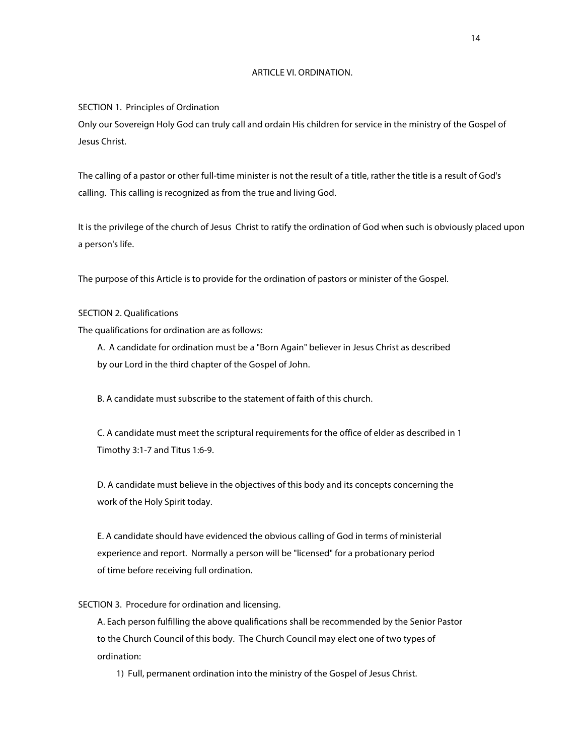#### ARTICLE VI. ORDINATION.

SECTION 1. Principles of Ordination

Only our Sovereign Holy God can truly call and ordain His children for service in the ministry of the Gospel of Jesus Christ.

The calling of a pastor or other full-time minister is not the result of a title, rather the title is a result of God's calling. This calling is recognized as from the true and living God.

It is the privilege of the church of Jesus Christ to ratify the ordination of God when such is obviously placed upon a person's life.

The purpose of this Article is to provide for the ordination of pastors or minister of the Gospel.

### SECTION 2. Qualifications

The qualifications for ordination are as follows:

A. A candidate for ordination must be a "Born Again" believer in Jesus Christ as described by our Lord in the third chapter of the Gospel of John.

B. A candidate must subscribe to the statement of faith of this church.

C. A candidate must meet the scriptural requirements for the office of elder as described in 1 Timothy 3:1-7 and Titus 1:6-9.

D. A candidate must believe in the objectives of this body and its concepts concerning the work of the Holy Spirit today.

E. A candidate should have evidenced the obvious calling of God in terms of ministerial experience and report. Normally a person will be "licensed" for a probationary period of time before receiving full ordination.

# SECTION 3. Procedure for ordination and licensing.

A. Each person fulfilling the above qualifications shall be recommended by the Senior Pastor to the Church Council of this body. The Church Council may elect one of two types of ordination:

1) Full, permanent ordination into the ministry of the Gospel of Jesus Christ.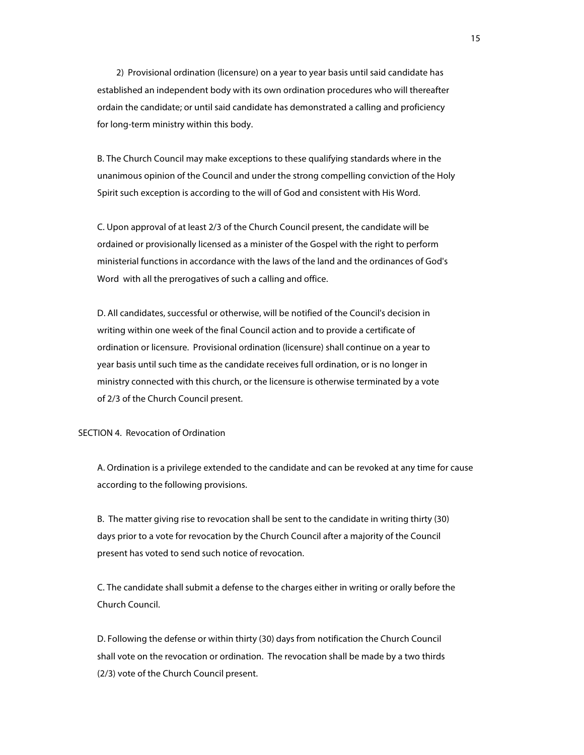2) Provisional ordination (licensure) on a year to year basis until said candidate has established an independent body with its own ordination procedures who will thereafter ordain the candidate; or until said candidate has demonstrated a calling and proficiency for long-term ministry within this body.

B. The Church Council may make exceptions to these qualifying standards where in the unanimous opinion of the Council and under the strong compelling conviction of the Holy Spirit such exception is according to the will of God and consistent with His Word.

C. Upon approval of at least 2/3 of the Church Council present, the candidate will be ordained or provisionally licensed as a minister of the Gospel with the right to perform ministerial functions in accordance with the laws of the land and the ordinances of God's Word with all the prerogatives of such a calling and office.

D. All candidates, successful or otherwise, will be notified of the Council's decision in writing within one week of the final Council action and to provide a certificate of ordination or licensure. Provisional ordination (licensure) shall continue on a year to year basis until such time as the candidate receives full ordination, or is no longer in ministry connected with this church, or the licensure is otherwise terminated by a vote of 2/3 of the Church Council present.

#### SECTION 4. Revocation of Ordination

A. Ordination is a privilege extended to the candidate and can be revoked at any time for cause according to the following provisions.

B. The matter giving rise to revocation shall be sent to the candidate in writing thirty (30) days prior to a vote for revocation by the Church Council after a majority of the Council present has voted to send such notice of revocation.

C. The candidate shall submit a defense to the charges either in writing or orally before the Church Council.

D. Following the defense or within thirty (30) days from notification the Church Council shall vote on the revocation or ordination. The revocation shall be made by a two thirds (2/3) vote of the Church Council present.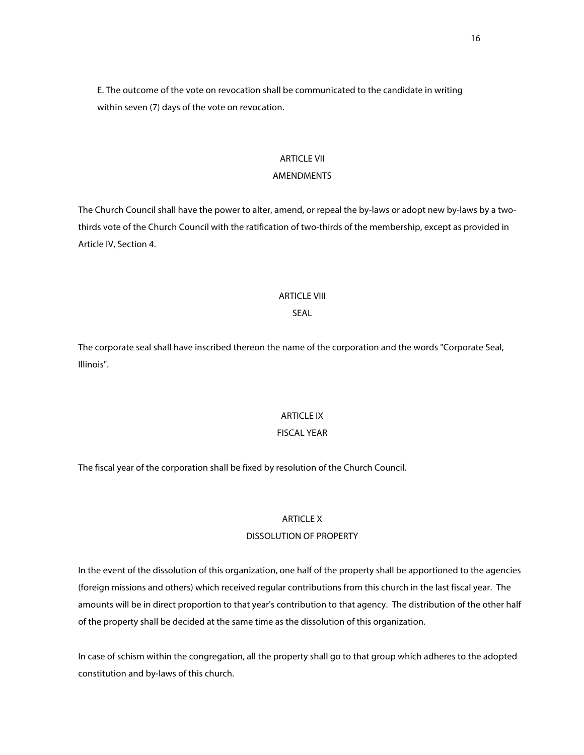E. The outcome of the vote on revocation shall be communicated to the candidate in writing within seven (7) days of the vote on revocation.

### ARTICLE VII

# AMENDMENTS

The Church Council shall have the power to alter, amend, or repeal the by-laws or adopt new by-laws by a twothirds vote of the Church Council with the ratification of two-thirds of the membership, except as provided in Article IV, Section 4.

### ARTICLE VIII

# SEAL

The corporate seal shall have inscribed thereon the name of the corporation and the words "Corporate Seal, Illinois".

# ARTICLE IX

# FISCAL YEAR

The fiscal year of the corporation shall be fixed by resolution of the Church Council.

# ARTICLE X

# DISSOLUTION OF PROPERTY

In the event of the dissolution of this organization, one half of the property shall be apportioned to the agencies (foreign missions and others) which received regular contributions from this church in the last fiscal year. The amounts will be in direct proportion to that year's contribution to that agency. The distribution of the other half of the property shall be decided at the same time as the dissolution of this organization.

In case of schism within the congregation, all the property shall go to that group which adheres to the adopted constitution and by-laws of this church.